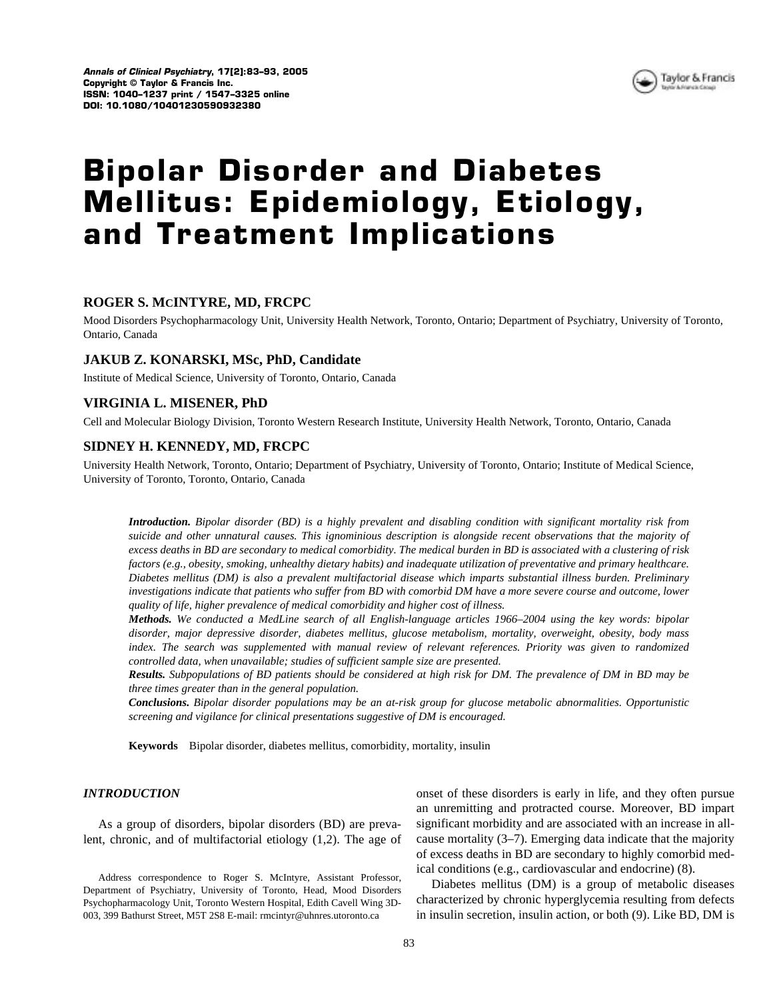

# **Bipolar Disorder and Diabetes Mellitus: Epidemiology, Etiology, and Treatment Implications**

# **ROGER S. MCINTYRE, MD, FRCPC**

Mood Disorders Psychopharmacology Unit, University Health Network, Toronto, Ontario; Department of Psychiatry, University of Toronto, Ontario, Canada

# **JAKUB Z. KONARSKI, MSc, PhD, Candidate**

Institute of Medical Science, University of Toronto, Ontario, Canada

# **VIRGINIA L. MISENER, PhD**

Cell and Molecular Biology Division, Toronto Western Research Institute, University Health Network, Toronto, Ontario, Canada

## **SIDNEY H. KENNEDY, MD, FRCPC**

University Health Network, Toronto, Ontario; Department of Psychiatry, University of Toronto, Ontario; Institute of Medical Science, University of Toronto, Toronto, Ontario, Canada

*Introduction. Bipolar disorder (BD) is a highly prevalent and disabling condition with significant mortality risk from suicide and other unnatural causes. This ignominious description is alongside recent observations that the majority of excess deaths in BD are secondary to medical comorbidity. The medical burden in BD is associated with a clustering of risk factors (e.g., obesity, smoking, unhealthy dietary habits) and inadequate utilization of preventative and primary healthcare. Diabetes mellitus (DM) is also a prevalent multifactorial disease which imparts substantial illness burden. Preliminary investigations indicate that patients who suffer from BD with comorbid DM have a more severe course and outcome, lower quality of life, higher prevalence of medical comorbidity and higher cost of illness.*

*Methods. We conducted a MedLine search of all English-language articles 1966–2004 using the key words: bipolar disorder, major depressive disorder, diabetes mellitus, glucose metabolism, mortality, overweight, obesity, body mass index. The search was supplemented with manual review of relevant references. Priority was given to randomized controlled data, when unavailable; studies of sufficient sample size are presented.*

*Results. Subpopulations of BD patients should be considered at high risk for DM. The prevalence of DM in BD may be three times greater than in the general population.*

*Conclusions. Bipolar disorder populations may be an at-risk group for glucose metabolic abnormalities. Opportunistic screening and vigilance for clinical presentations suggestive of DM is encouraged.*

**Keywords** Bipolar disorder, diabetes mellitus, comorbidity, mortality, insulin

#### *INTRODUCTION*

As a group of disorders, bipolar disorders (BD) are prevalent, chronic, and of multifactorial etiology (1,2). The age of

Address correspondence to Roger S. McIntyre, Assistant Professor, Department of Psychiatry, University of Toronto, Head, Mood Disorders Psychopharmacology Unit, Toronto Western Hospital, Edith Cavell Wing 3D-003, 399 Bathurst Street, M5T 2S8 E-mail: rmcintyr@uhnres.utoronto.ca

onset of these disorders is early in life, and they often pursue an unremitting and protracted course. Moreover, BD impart significant morbidity and are associated with an increase in allcause mortality (3–7). Emerging data indicate that the majority of excess deaths in BD are secondary to highly comorbid medical conditions (e.g., cardiovascular and endocrine) (8).

Diabetes mellitus (DM) is a group of metabolic diseases characterized by chronic hyperglycemia resulting from defects in insulin secretion, insulin action, or both (9). Like BD, DM is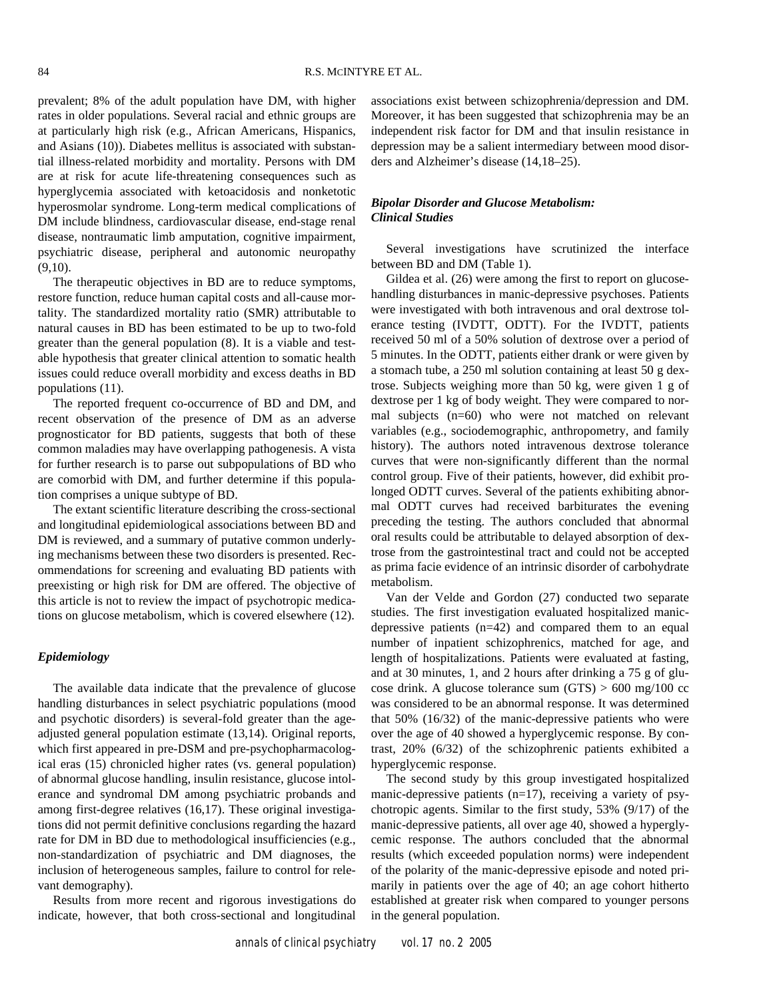prevalent; 8% of the adult population have DM, with higher rates in older populations. Several racial and ethnic groups are at particularly high risk (e.g., African Americans, Hispanics, and Asians (10)). Diabetes mellitus is associated with substantial illness-related morbidity and mortality. Persons with DM are at risk for acute life-threatening consequences such as hyperglycemia associated with ketoacidosis and nonketotic hyperosmolar syndrome. Long-term medical complications of DM include blindness, cardiovascular disease, end-stage renal disease, nontraumatic limb amputation, cognitive impairment, psychiatric disease, peripheral and autonomic neuropathy  $(9,10)$ .

The therapeutic objectives in BD are to reduce symptoms, restore function, reduce human capital costs and all-cause mortality. The standardized mortality ratio (SMR) attributable to natural causes in BD has been estimated to be up to two-fold greater than the general population (8). It is a viable and testable hypothesis that greater clinical attention to somatic health issues could reduce overall morbidity and excess deaths in BD populations (11).

The reported frequent co-occurrence of BD and DM, and recent observation of the presence of DM as an adverse prognosticator for BD patients, suggests that both of these common maladies may have overlapping pathogenesis. A vista for further research is to parse out subpopulations of BD who are comorbid with DM, and further determine if this population comprises a unique subtype of BD.

The extant scientific literature describing the cross-sectional and longitudinal epidemiological associations between BD and DM is reviewed, and a summary of putative common underlying mechanisms between these two disorders is presented. Recommendations for screening and evaluating BD patients with preexisting or high risk for DM are offered. The objective of this article is not to review the impact of psychotropic medications on glucose metabolism, which is covered elsewhere (12).

### *Epidemiology*

The available data indicate that the prevalence of glucose handling disturbances in select psychiatric populations (mood and psychotic disorders) is several-fold greater than the ageadjusted general population estimate (13,14). Original reports, which first appeared in pre-DSM and pre-psychopharmacological eras (15) chronicled higher rates (vs. general population) of abnormal glucose handling, insulin resistance, glucose intolerance and syndromal DM among psychiatric probands and among first-degree relatives (16,17). These original investigations did not permit definitive conclusions regarding the hazard rate for DM in BD due to methodological insufficiencies (e.g., non-standardization of psychiatric and DM diagnoses, the inclusion of heterogeneous samples, failure to control for relevant demography).

Results from more recent and rigorous investigations do indicate, however, that both cross-sectional and longitudinal associations exist between schizophrenia/depression and DM. Moreover, it has been suggested that schizophrenia may be an independent risk factor for DM and that insulin resistance in depression may be a salient intermediary between mood disorders and Alzheimer's disease (14,18–25).

# *Bipolar Disorder and Glucose Metabolism: Clinical Studies*

Several investigations have scrutinized the interface between BD and DM (Table 1).

Gildea et al.  $(26)$  were among the first to report on glucosehandling disturbances in manic-depressive psychoses. Patients were investigated with both intravenous and oral dextrose tolerance testing (IVDTT, ODTT). For the IVDTT, patients received 50 ml of a 50% solution of dextrose over a period of 5 minutes. In the ODTT, patients either drank or were given by a stomach tube, a 250 ml solution containing at least 50 g dextrose. Subjects weighing more than 50 kg, were given 1 g of dextrose per 1 kg of body weight. They were compared to normal subjects (n=60) who were not matched on relevant variables (e.g., sociodemographic, anthropometry, and family history). The authors noted intravenous dextrose tolerance curves that were non-significantly different than the normal control group. Five of their patients, however, did exhibit prolonged ODTT curves. Several of the patients exhibiting abnormal ODTT curves had received barbiturates the evening preceding the testing. The authors concluded that abnormal oral results could be attributable to delayed absorption of dextrose from the gastrointestinal tract and could not be accepted as prima facie evidence of an intrinsic disorder of carbohydrate metabolism.

Van der Velde and Gordon (27) conducted two separate studies. The first investigation evaluated hospitalized manicdepressive patients (n=42) and compared them to an equal number of inpatient schizophrenics, matched for age, and length of hospitalizations. Patients were evaluated at fasting, and at 30 minutes, 1, and 2 hours after drinking a 75 g of glucose drink. A glucose tolerance sum  $(GTS) > 600$  mg/100 cc was considered to be an abnormal response. It was determined that 50% (16/32) of the manic-depressive patients who were over the age of 40 showed a hyperglycemic response. By contrast, 20% (6/32) of the schizophrenic patients exhibited a hyperglycemic response.

The second study by this group investigated hospitalized manic-depressive patients (n=17), receiving a variety of psychotropic agents. Similar to the first study, 53% (9/17) of the manic-depressive patients, all over age 40, showed a hyperglycemic response. The authors concluded that the abnormal results (which exceeded population norms) were independent of the polarity of the manic-depressive episode and noted primarily in patients over the age of 40; an age cohort hitherto established at greater risk when compared to younger persons in the general population.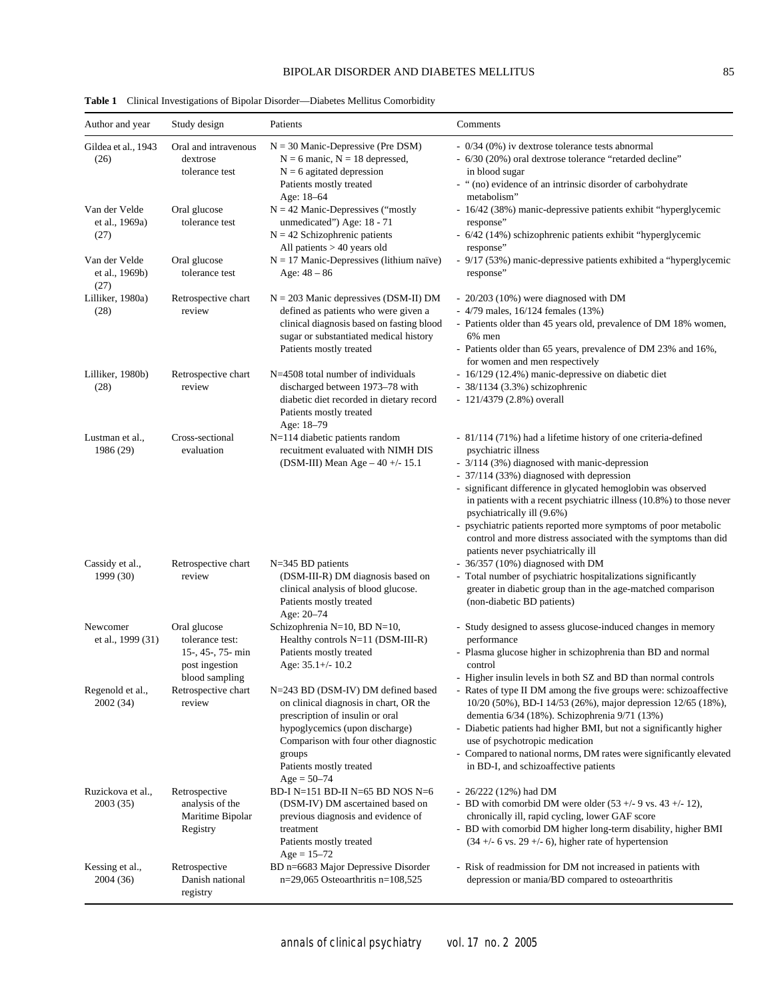| Author and year                         | Study design                                                                             | Patients                                                                                                                                                                                                                                           | Comments                                                                                                                                                                                                                                                                                                                                                                                                                                                                                                                           |
|-----------------------------------------|------------------------------------------------------------------------------------------|----------------------------------------------------------------------------------------------------------------------------------------------------------------------------------------------------------------------------------------------------|------------------------------------------------------------------------------------------------------------------------------------------------------------------------------------------------------------------------------------------------------------------------------------------------------------------------------------------------------------------------------------------------------------------------------------------------------------------------------------------------------------------------------------|
| Gildea et al., 1943<br>(26)             | Oral and intravenous<br>dextrose<br>tolerance test                                       | $N = 30$ Manic-Depressive (Pre DSM)<br>$N = 6$ manic, $N = 18$ depressed,<br>$N = 6$ agitated depression<br>Patients mostly treated<br>Age: 18-64                                                                                                  | $-0/34$ (0%) iv dextrose tolerance tests abnormal<br>- 6/30 (20%) oral dextrose tolerance "retarded decline"<br>in blood sugar<br>- "(no) evidence of an intrinsic disorder of carbohydrate<br>metabolism"                                                                                                                                                                                                                                                                                                                         |
| Van der Velde<br>et al., 1969a)<br>(27) | Oral glucose<br>tolerance test                                                           | $N = 42$ Manic-Depressives ("mostly<br>unmedicated") Age: 18 - 71<br>$N = 42$ Schizophrenic patients<br>All patients $> 40$ years old                                                                                                              | - 16/42 (38%) manic-depressive patients exhibit "hyperglycemic<br>response"<br>- 6/42 (14%) schizophrenic patients exhibit "hyperglycemic<br>response"                                                                                                                                                                                                                                                                                                                                                                             |
| Van der Velde<br>et al., 1969b)<br>(27) | Oral glucose<br>tolerance test                                                           | $N = 17$ Manic-Depressives (lithium naïve)<br>Age: $48 - 86$                                                                                                                                                                                       | - 9/17 (53%) manic-depressive patients exhibited a "hyperglycemic<br>response"                                                                                                                                                                                                                                                                                                                                                                                                                                                     |
| Lilliker, 1980a)<br>(28)                | Retrospective chart<br>review                                                            | $N = 203$ Manic depressives (DSM-II) DM<br>defined as patients who were given a<br>clinical diagnosis based on fasting blood<br>sugar or substantiated medical history<br>Patients mostly treated                                                  | - $20/203$ (10%) were diagnosed with DM<br>- 4/79 males, 16/124 females (13%)<br>- Patients older than 45 years old, prevalence of DM 18% women,<br>6% men<br>- Patients older than 65 years, prevalence of DM 23% and 16%,<br>for women and men respectively                                                                                                                                                                                                                                                                      |
| Lilliker, 1980b)<br>(28)                | Retrospective chart<br>review                                                            | N=4508 total number of individuals<br>discharged between 1973-78 with<br>diabetic diet recorded in dietary record<br>Patients mostly treated<br>Age: 18-79                                                                                         | - 16/129 (12.4%) manic-depressive on diabetic diet<br>- 38/1134 (3.3%) schizophrenic<br>$-121/4379(2.8%)$ overall                                                                                                                                                                                                                                                                                                                                                                                                                  |
| Lustman et al.,<br>1986 (29)            | Cross-sectional<br>evaluation                                                            | N=114 diabetic patients random<br>recuitment evaluated with NIMH DIS<br>(DSM-III) Mean Age $-40 +/- 15.1$                                                                                                                                          | - 81/114 (71%) had a lifetime history of one criteria-defined<br>psychiatric illness<br>- 3/114 (3%) diagnosed with manic-depression<br>- 37/114 (33%) diagnosed with depression<br>- significant difference in glycated hemoglobin was observed<br>in patients with a recent psychiatric illness (10.8%) to those never<br>psychiatrically ill (9.6%)<br>- psychiatric patients reported more symptoms of poor metabolic<br>control and more distress associated with the symptoms than did<br>patients never psychiatrically ill |
| Cassidy et al.,<br>1999 (30)            | Retrospective chart<br>review                                                            | $N=345$ BD patients<br>(DSM-III-R) DM diagnosis based on<br>clinical analysis of blood glucose.<br>Patients mostly treated<br>Age: 20-74                                                                                                           | - 36/357 (10%) diagnosed with DM<br>- Total number of psychiatric hospitalizations significantly<br>greater in diabetic group than in the age-matched comparison<br>(non-diabetic BD patients)                                                                                                                                                                                                                                                                                                                                     |
| Newcomer<br>et al., 1999 (31)           | Oral glucose<br>tolerance test:<br>15-, 45-, 75- min<br>post ingestion<br>blood sampling | Schizophrenia N=10, BD N=10,<br>Healthy controls $N=11$ (DSM-III-R)<br>Patients mostly treated<br>Age: $35.1+/10.2$                                                                                                                                | - Study designed to assess glucose-induced changes in memory<br>performance<br>- Plasma glucose higher in schizophrenia than BD and normal<br>control<br>- Higher insulin levels in both SZ and BD than normal controls                                                                                                                                                                                                                                                                                                            |
| Regenold et al.,<br>2002 (34)           | Retrospective chart<br>review                                                            | N=243 BD (DSM-IV) DM defined based<br>on clinical diagnosis in chart, OR the<br>prescription of insulin or oral<br>hypoglycemics (upon discharge)<br>Comparison with four other diagnostic<br>groups<br>Patients mostly treated<br>$Age = 50 - 74$ | - Rates of type II DM among the five groups were: schizoaffective<br>10/20 (50%), BD-I 14/53 (26%), major depression 12/65 (18%),<br>dementia 6/34 (18%). Schizophrenia 9/71 (13%)<br>- Diabetic patients had higher BMI, but not a significantly higher<br>use of psychotropic medication<br>- Compared to national norms, DM rates were significantly elevated<br>in BD-I, and schizoaffective patients                                                                                                                          |
| Ruzickova et al.,<br>2003 (35)          | Retrospective<br>analysis of the<br>Maritime Bipolar<br>Registry                         | BD-I N=151 BD-II N=65 BD NOS N=6<br>(DSM-IV) DM ascertained based on<br>previous diagnosis and evidence of<br>treatment<br>Patients mostly treated<br>$Age = 15-72$                                                                                | $-26/222(12%)$ had DM<br>- BD with comorbid DM were older $(53 +/- 9 \text{ vs. } 43 +/- 12)$ ,<br>chronically ill, rapid cycling, lower GAF score<br>- BD with comorbid DM higher long-term disability, higher BMI<br>$(34 +/- 6 \text{ vs. } 29 +/- 6)$ , higher rate of hypertension                                                                                                                                                                                                                                            |
| Kessing et al.,<br>2004 (36)            | Retrospective<br>Danish national<br>registry                                             | BD n=6683 Major Depressive Disorder<br>$n=29,065$ Osteoarthritis $n=108,525$                                                                                                                                                                       | - Risk of readmission for DM not increased in patients with<br>depression or mania/BD compared to osteoarthritis                                                                                                                                                                                                                                                                                                                                                                                                                   |

**Table 1** Clinical Investigations of Bipolar Disorder—Diabetes Mellitus Comorbidity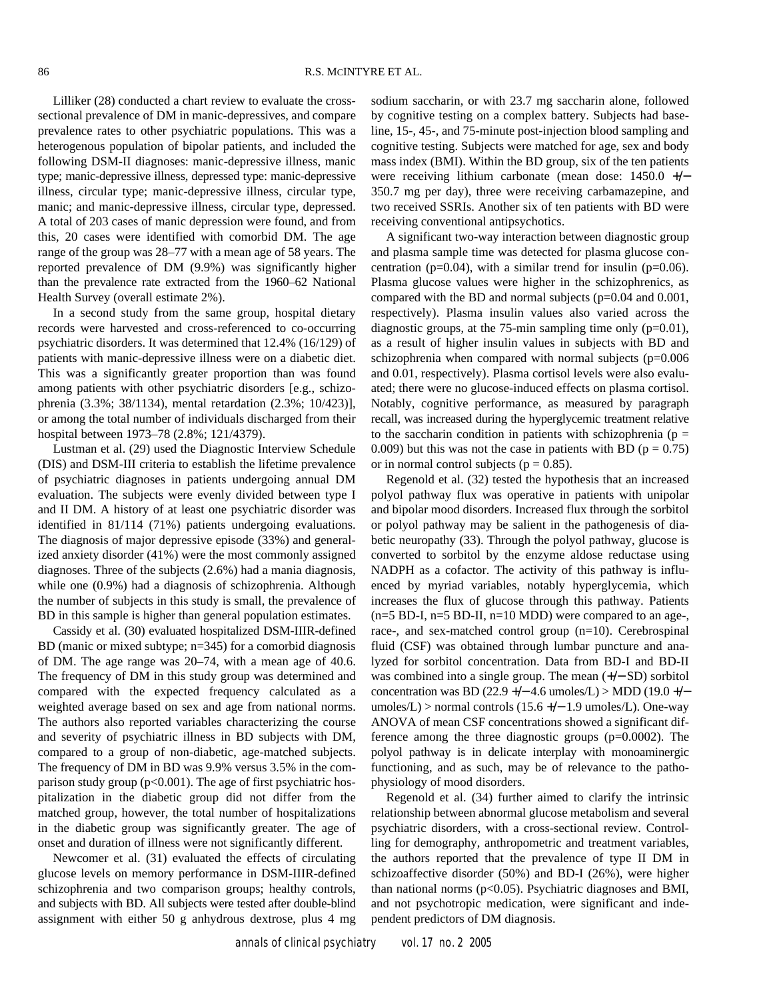Lilliker (28) conducted a chart review to evaluate the crosssectional prevalence of DM in manic-depressives, and compare prevalence rates to other psychiatric populations. This was a heterogenous population of bipolar patients, and included the following DSM-II diagnoses: manic-depressive illness, manic type; manic-depressive illness, depressed type: manic-depressive illness, circular type; manic-depressive illness, circular type, manic; and manic-depressive illness, circular type, depressed. A total of 203 cases of manic depression were found, and from this, 20 cases were identified with comorbid DM. The age range of the group was 28–77 with a mean age of 58 years. The reported prevalence of DM (9.9%) was significantly higher than the prevalence rate extracted from the 1960–62 National Health Survey (overall estimate 2%).

In a second study from the same group, hospital dietary records were harvested and cross-referenced to co-occurring psychiatric disorders. It was determined that 12.4% (16/129) of patients with manic-depressive illness were on a diabetic diet. This was a significantly greater proportion than was found among patients with other psychiatric disorders [e.g., schizophrenia (3.3%; 38/1134), mental retardation (2.3%; 10/423)], or among the total number of individuals discharged from their hospital between 1973–78 (2.8%; 121/4379).

Lustman et al. (29) used the Diagnostic Interview Schedule (DIS) and DSM-III criteria to establish the lifetime prevalence of psychiatric diagnoses in patients undergoing annual DM evaluation. The subjects were evenly divided between type I and II DM. A history of at least one psychiatric disorder was identified in 81/114 (71%) patients undergoing evaluations. The diagnosis of major depressive episode (33%) and generalized anxiety disorder (41%) were the most commonly assigned diagnoses. Three of the subjects (2.6%) had a mania diagnosis, while one (0.9%) had a diagnosis of schizophrenia. Although the number of subjects in this study is small, the prevalence of BD in this sample is higher than general population estimates.

Cassidy et al. (30) evaluated hospitalized DSM-IIIR-defined BD (manic or mixed subtype; n=345) for a comorbid diagnosis of DM. The age range was 20–74, with a mean age of 40.6. The frequency of DM in this study group was determined and compared with the expected frequency calculated as a weighted average based on sex and age from national norms. The authors also reported variables characterizing the course and severity of psychiatric illness in BD subjects with DM, compared to a group of non-diabetic, age-matched subjects. The frequency of DM in BD was 9.9% versus 3.5% in the comparison study group ( $p<0.001$ ). The age of first psychiatric hospitalization in the diabetic group did not differ from the matched group, however, the total number of hospitalizations in the diabetic group was significantly greater. The age of onset and duration of illness were not significantly different.

Newcomer et al. (31) evaluated the effects of circulating glucose levels on memory performance in DSM-IIIR-defined schizophrenia and two comparison groups; healthy controls, and subjects with BD. All subjects were tested after double-blind assignment with either 50 g anhydrous dextrose, plus 4 mg

sodium saccharin, or with 23.7 mg saccharin alone, followed by cognitive testing on a complex battery. Subjects had baseline, 15-, 45-, and 75-minute post-injection blood sampling and cognitive testing. Subjects were matched for age, sex and body mass index (BMI). Within the BD group, six of the ten patients were receiving lithium carbonate (mean dose: 1450.0 +/− 350.7 mg per day), three were receiving carbamazepine, and two received SSRIs. Another six of ten patients with BD were receiving conventional antipsychotics.

A significant two-way interaction between diagnostic group and plasma sample time was detected for plasma glucose concentration ( $p=0.04$ ), with a similar trend for insulin ( $p=0.06$ ). Plasma glucose values were higher in the schizophrenics, as compared with the BD and normal subjects (p=0.04 and 0.001, respectively). Plasma insulin values also varied across the diagnostic groups, at the  $75$ -min sampling time only ( $p=0.01$ ), as a result of higher insulin values in subjects with BD and schizophrenia when compared with normal subjects  $(p=0.006$ and 0.01, respectively). Plasma cortisol levels were also evaluated; there were no glucose-induced effects on plasma cortisol. Notably, cognitive performance, as measured by paragraph recall, was increased during the hyperglycemic treatment relative to the saccharin condition in patients with schizophrenia ( $p =$ 0.009) but this was not the case in patients with BD ( $p = 0.75$ ) or in normal control subjects ( $p = 0.85$ ).

Regenold et al. (32) tested the hypothesis that an increased polyol pathway flux was operative in patients with unipolar and bipolar mood disorders. Increased flux through the sorbitol or polyol pathway may be salient in the pathogenesis of diabetic neuropathy (33). Through the polyol pathway, glucose is converted to sorbitol by the enzyme aldose reductase using NADPH as a cofactor. The activity of this pathway is influenced by myriad variables, notably hyperglycemia, which increases the flux of glucose through this pathway. Patients  $(n=5$  BD-I,  $n=5$  BD-II,  $n=10$  MDD) were compared to an age-, race-, and sex-matched control group (n=10). Cerebrospinal fluid (CSF) was obtained through lumbar puncture and analyzed for sorbitol concentration. Data from BD-I and BD-II was combined into a single group. The mean (+/− SD) sorbitol concentration was BD (22.9 +/− 4.6 umoles/L) > MDD (19.0 +/−  $umoles/L$ ) > normal controls (15.6 +/-1.9 umoles/L). One-way ANOVA of mean CSF concentrations showed a significant difference among the three diagnostic groups (p=0.0002). The polyol pathway is in delicate interplay with monoaminergic functioning, and as such, may be of relevance to the pathophysiology of mood disorders.

Regenold et al. (34) further aimed to clarify the intrinsic relationship between abnormal glucose metabolism and several psychiatric disorders, with a cross-sectional review. Controlling for demography, anthropometric and treatment variables, the authors reported that the prevalence of type II DM in schizoaffective disorder (50%) and BD-I (26%), were higher than national norms (p<0.05). Psychiatric diagnoses and BMI, and not psychotropic medication, were significant and independent predictors of DM diagnosis.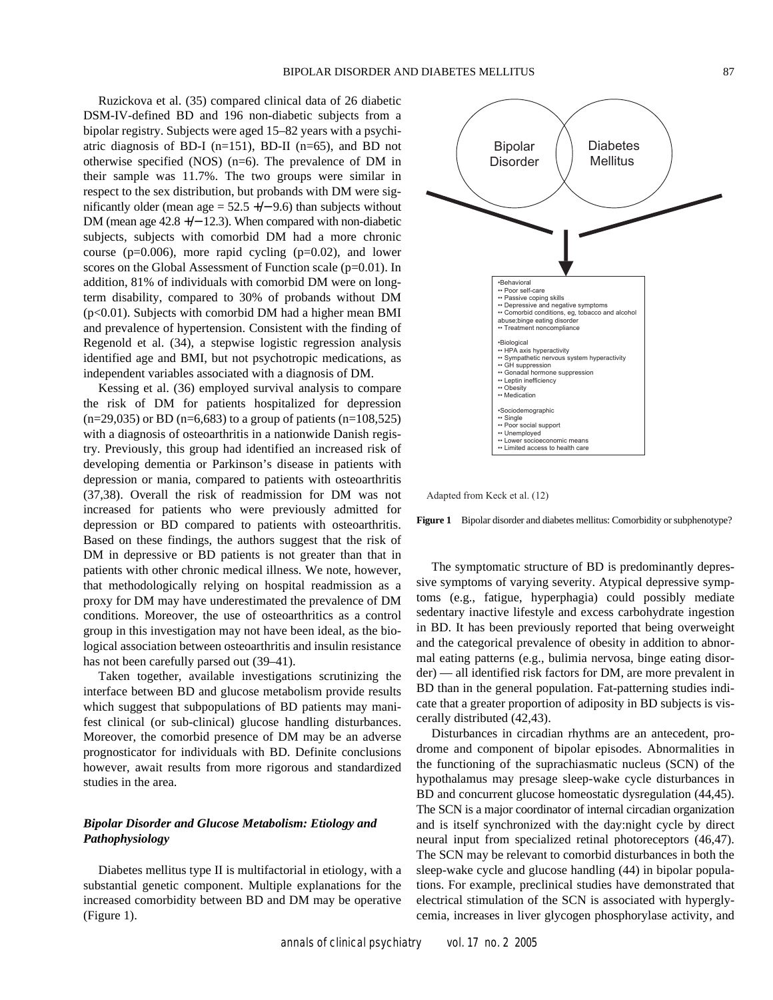Ruzickova et al. (35) compared clinical data of 26 diabetic DSM-IV-defined BD and 196 non-diabetic subjects from a bipolar registry. Subjects were aged 15–82 years with a psychiatric diagnosis of BD-I ( $n=151$ ), BD-II ( $n=65$ ), and BD not otherwise specified (NOS) (n=6). The prevalence of DM in their sample was 11.7%. The two groups were similar in respect to the sex distribution, but probands with DM were significantly older (mean age =  $52.5 +/- 9.6$ ) than subjects without DM (mean age 42.8 +/− 12.3). When compared with non-diabetic subjects, subjects with comorbid DM had a more chronic course ( $p=0.006$ ), more rapid cycling ( $p=0.02$ ), and lower scores on the Global Assessment of Function scale (p=0.01). In addition, 81% of individuals with comorbid DM were on longterm disability, compared to 30% of probands without DM (p<0.01). Subjects with comorbid DM had a higher mean BMI and prevalence of hypertension. Consistent with the finding of Regenold et al. (34), a stepwise logistic regression analysis identified age and BMI, but not psychotropic medications, as independent variables associated with a diagnosis of DM.

Kessing et al. (36) employed survival analysis to compare the risk of DM for patients hospitalized for depression  $(n=29,035)$  or BD  $(n=6,683)$  to a group of patients  $(n=108,525)$ with a diagnosis of osteoarthritis in a nationwide Danish registry. Previously, this group had identified an increased risk of developing dementia or Parkinson's disease in patients with depression or mania, compared to patients with osteoarthritis (37,38). Overall the risk of readmission for DM was not increased for patients who were previously admitted for depression or BD compared to patients with osteoarthritis. Based on these findings, the authors suggest that the risk of DM in depressive or BD patients is not greater than that in patients with other chronic medical illness. We note, however, that methodologically relying on hospital readmission as a proxy for DM may have underestimated the prevalence of DM conditions. Moreover, the use of osteoarthritics as a control group in this investigation may not have been ideal, as the biological association between osteoarthritis and insulin resistance has not been carefully parsed out  $(39-41)$ .

Taken together, available investigations scrutinizing the interface between BD and glucose metabolism provide results which suggest that subpopulations of BD patients may manifest clinical (or sub-clinical) glucose handling disturbances. Moreover, the comorbid presence of DM may be an adverse prognosticator for individuals with BD. Definite conclusions however, await results from more rigorous and standardized studies in the area.

# *Bipolar Disorder and Glucose Metabolism: Etiology and Pathophysiology*

Diabetes mellitus type II is multifactorial in etiology, with a substantial genetic component. Multiple explanations for the increased comorbidity between BD and DM may be operative (Figure 1).



Adapted from Keck et al. (12)

Figure 1 Bipolar disorder and diabetes mellitus: Comorbidity or subphenotype?

The symptomatic structure of BD is predominantly depressive symptoms of varying severity. Atypical depressive symptoms (e.g., fatigue, hyperphagia) could possibly mediate sedentary inactive lifestyle and excess carbohydrate ingestion in BD. It has been previously reported that being overweight and the categorical prevalence of obesity in addition to abnormal eating patterns (e.g., bulimia nervosa, binge eating disorder) — all identified risk factors for DM, are more prevalent in BD than in the general population. Fat-patterning studies indicate that a greater proportion of adiposity in BD subjects is viscerally distributed (42,43).

Disturbances in circadian rhythms are an antecedent, prodrome and component of bipolar episodes. Abnormalities in the functioning of the suprachiasmatic nucleus (SCN) of the hypothalamus may presage sleep-wake cycle disturbances in BD and concurrent glucose homeostatic dysregulation (44,45). The SCN is a major coordinator of internal circadian organization and is itself synchronized with the day:night cycle by direct neural input from specialized retinal photoreceptors (46,47). The SCN may be relevant to comorbid disturbances in both the sleep-wake cycle and glucose handling (44) in bipolar populations. For example, preclinical studies have demonstrated that electrical stimulation of the SCN is associated with hyperglycemia, increases in liver glycogen phosphorylase activity, and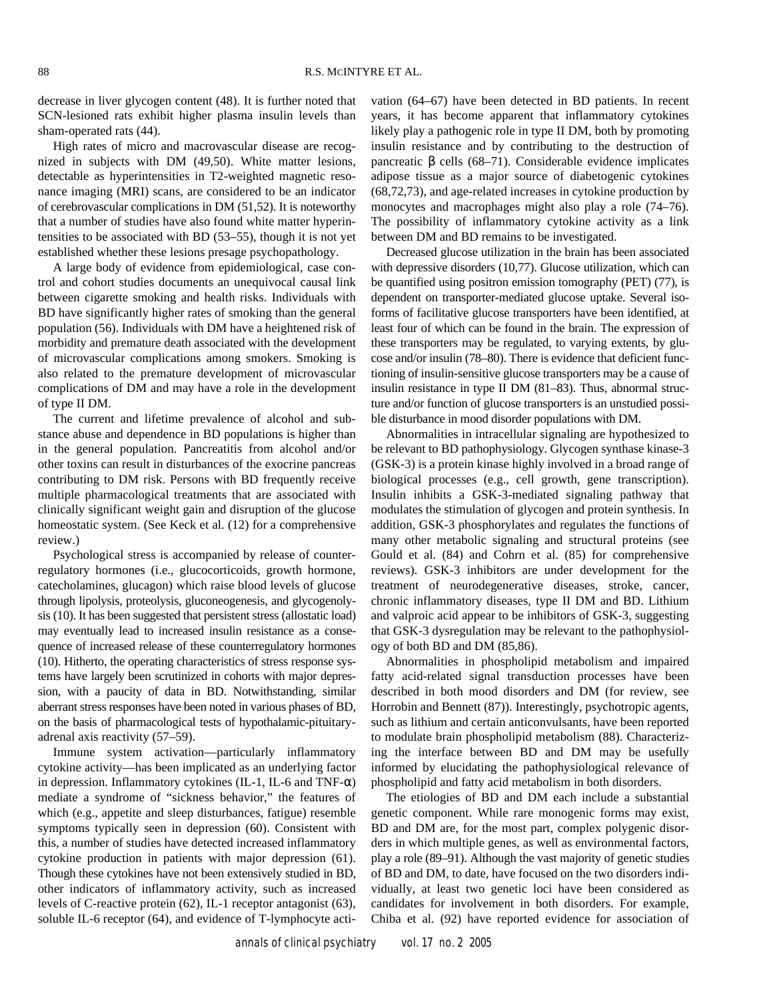decrease in liver glycogen content (48). It is further noted that SCN-lesioned rats exhibit higher plasma insulin levels than sham-operated rats (44).

High rates of micro and macrovascular disease are recognized in subjects with DM (49,50). White matter lesions, detectable as hyperintensities in T2-weighted magnetic resonance imaging (MRI) scans, are considered to be an indicator of cerebrovascular complications in DM (51,52). It is noteworthy that a number of studies have also found white matter hyperintensities to be associated with BD (53–55), though it is not yet established whether these lesions presage psychopathology.

A large body of evidence from epidemiological, case control and cohort studies documents an unequivocal causal link between cigarette smoking and health risks. Individuals with BD have significantly higher rates of smoking than the general population (56). Individuals with DM have a heightened risk of morbidity and premature death associated with the development of microvascular complications among smokers. Smoking is also related to the premature development of microvascular complications of DM and may have a role in the development of type II DM.

The current and lifetime prevalence of alcohol and substance abuse and dependence in BD populations is higher than in the general population. Pancreatitis from alcohol and/or other toxins can result in disturbances of the exocrine pancreas contributing to DM risk. Persons with BD frequently receive multiple pharmacological treatments that are associated with clinically significant weight gain and disruption of the glucose homeostatic system. (See Keck et al.  $(12)$  for a comprehensive review.)

Psychological stress is accompanied by release of counterregulatory hormones (i.e., glucocorticoids, growth hormone, catecholamines, glucagon) which raise blood levels of glucose through lipolysis, proteolysis, gluconeogenesis, and glycogenolysis (10). It has been suggested that persistent stress (allostatic load) may eventually lead to increased insulin resistance as a consequence of increased release of these counterregulatory hormones (10). Hitherto, the operating characteristics of stress response systems have largely been scrutinized in cohorts with major depression, with a paucity of data in BD. Notwithstanding, similar aberrant stress responses have been noted in various phases of BD, on the basis of pharmacological tests of hypothalamic-pituitaryadrenal axis reactivity (57–59).

Immune system activation—particularly inflammatory cytokine activity—has been implicated as an underlying factor in depression. Inflammatory cytokines (IL-1, IL-6 and TNF- $\alpha$ ) mediate a syndrome of "sickness behavior," the features of which (e.g., appetite and sleep disturbances, fatigue) resemble symptoms typically seen in depression (60). Consistent with this, a number of studies have detected increased inflammatory cytokine production in patients with major depression (61). Though these cytokines have not been extensively studied in BD, other indicators of inflammatory activity, such as increased levels of C-reactive protein (62), IL-1 receptor antagonist (63), soluble IL-6 receptor (64), and evidence of T-lymphocyte activation (64–67) have been detected in BD patients. In recent years, it has become apparent that inflammatory cytokines likely play a pathogenic role in type II DM, both by promoting insulin resistance and by contributing to the destruction of pancreatic β cells (68–71). Considerable evidence implicates adipose tissue as a major source of diabetogenic cytokines (68,72,73), and age-related increases in cytokine production by monocytes and macrophages might also play a role (74–76). The possibility of inflammatory cytokine activity as a link between DM and BD remains to be investigated.

Decreased glucose utilization in the brain has been associated with depressive disorders (10,77). Glucose utilization, which can be quantified using positron emission tomography (PET) (77), is dependent on transporter-mediated glucose uptake. Several isoforms of facilitative glucose transporters have been identified, at least four of which can be found in the brain. The expression of these transporters may be regulated, to varying extents, by glucose and/or insulin (78–80). There is evidence that deficient functioning of insulin-sensitive glucose transporters may be a cause of insulin resistance in type II DM (81–83). Thus, abnormal structure and/or function of glucose transporters is an unstudied possible disturbance in mood disorder populations with DM.

Abnormalities in intracellular signaling are hypothesized to be relevant to BD pathophysiology. Glycogen synthase kinase-3 (GSK-3) is a protein kinase highly involved in a broad range of biological processes (e.g., cell growth, gene transcription). Insulin inhibits a GSK-3-mediated signaling pathway that modulates the stimulation of glycogen and protein synthesis. In addition, GSK-3 phosphorylates and regulates the functions of many other metabolic signaling and structural proteins (see Gould et al. (84) and Cohrn et al. (85) for comprehensive reviews). GSK-3 inhibitors are under development for the treatment of neurodegenerative diseases, stroke, cancer, chronic inflammatory diseases, type II DM and BD. Lithium and valproic acid appear to be inhibitors of GSK-3, suggesting that GSK-3 dysregulation may be relevant to the pathophysiology of both BD and DM (85,86).

Abnormalities in phospholipid metabolism and impaired fatty acid-related signal transduction processes have been described in both mood disorders and DM (for review, see Horrobin and Bennett (87)). Interestingly, psychotropic agents, such as lithium and certain anticonvulsants, have been reported to modulate brain phospholipid metabolism (88). Characterizing the interface between BD and DM may be usefully informed by elucidating the pathophysiological relevance of phospholipid and fatty acid metabolism in both disorders.

The etiologies of BD and DM each include a substantial genetic component. While rare monogenic forms may exist, BD and DM are, for the most part, complex polygenic disorders in which multiple genes, as well as environmental factors, play a role (89–91). Although the vast majority of genetic studies of BD and DM, to date, have focused on the two disorders individually, at least two genetic loci have been considered as candidates for involvement in both disorders. For example, Chiba et al. (92) have reported evidence for association of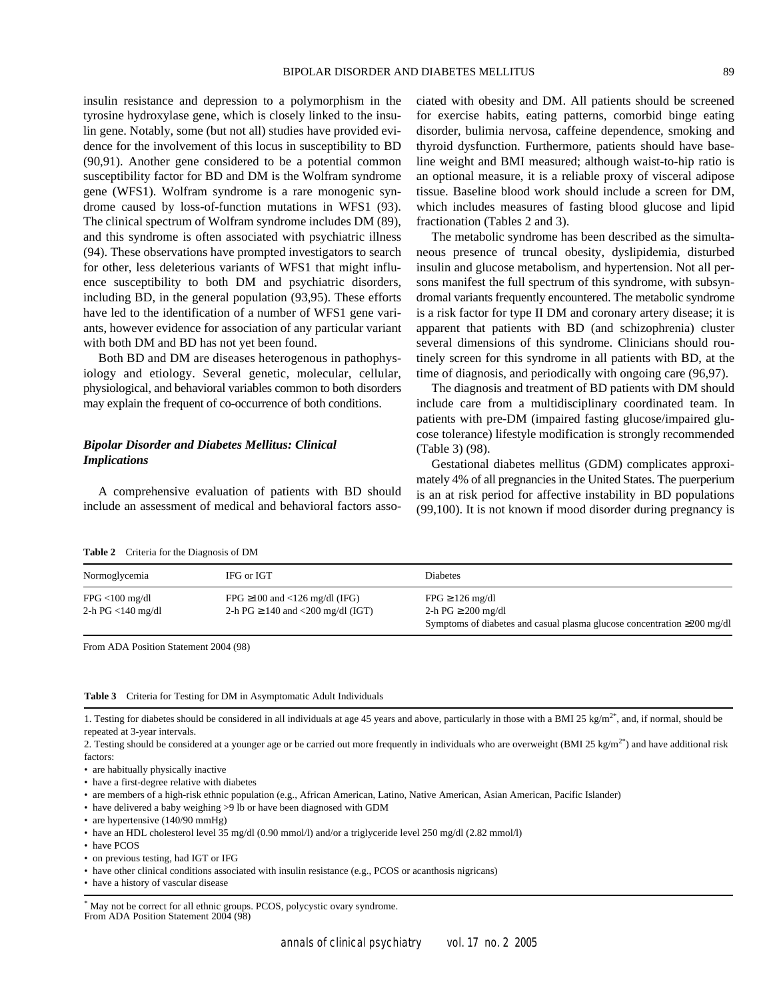insulin resistance and depression to a polymorphism in the tyrosine hydroxylase gene, which is closely linked to the insulin gene. Notably, some (but not all) studies have provided evidence for the involvement of this locus in susceptibility to BD (90,91). Another gene considered to be a potential common susceptibility factor for BD and DM is the Wolfram syndrome gene (WFS1). Wolfram syndrome is a rare monogenic syndrome caused by loss-of-function mutations in WFS1 (93). The clinical spectrum of Wolfram syndrome includes DM (89), and this syndrome is often associated with psychiatric illness (94). These observations have prompted investigators to search for other, less deleterious variants of WFS1 that might influence susceptibility to both DM and psychiatric disorders, including BD, in the general population (93,95). These efforts have led to the identification of a number of WFS1 gene variants, however evidence for association of any particular variant with both DM and BD has not yet been found.

Both BD and DM are diseases heterogenous in pathophysiology and etiology. Several genetic, molecular, cellular, physiological, and behavioral variables common to both disorders may explain the frequent of co-occurrence of both conditions.

## *Bipolar Disorder and Diabetes Mellitus: Clinical Implications*

A comprehensive evaluation of patients with BD should include an assessment of medical and behavioral factors associated with obesity and DM. All patients should be screened for exercise habits, eating patterns, comorbid binge eating disorder, bulimia nervosa, caffeine dependence, smoking and thyroid dysfunction. Furthermore, patients should have baseline weight and BMI measured; although waist-to-hip ratio is an optional measure, it is a reliable proxy of visceral adipose tissue. Baseline blood work should include a screen for DM, which includes measures of fasting blood glucose and lipid fractionation (Tables 2 and 3).

The metabolic syndrome has been described as the simultaneous presence of truncal obesity, dyslipidemia, disturbed insulin and glucose metabolism, and hypertension. Not all persons manifest the full spectrum of this syndrome, with subsyndromal variants frequently encountered. The metabolic syndrome is a risk factor for type II DM and coronary artery disease; it is apparent that patients with BD (and schizophrenia) cluster several dimensions of this syndrome. Clinicians should routinely screen for this syndrome in all patients with BD, at the time of diagnosis, and periodically with ongoing care (96,97).

The diagnosis and treatment of BD patients with DM should include care from a multidisciplinary coordinated team. In patients with pre-DM (impaired fasting glucose/impaired glucose tolerance) lifestyle modification is strongly recommended (Table 3) (98).

Gestational diabetes mellitus (GDM) complicates approximately 4% of all pregnancies in the United States. The puerperium is an at risk period for affective instability in BD populations (99,100). It is not known if mood disorder during pregnancy is

**Table 2** Criteria for the Diagnosis of DM

| Normoglycemia        | IFG or IGT                             | <b>Diabetes</b>                                                               |
|----------------------|----------------------------------------|-------------------------------------------------------------------------------|
| $FPG < 100$ mg/dl    | FPG $\geq$ 100 and <126 mg/dl (IFG)    | $FPG \ge 126$ mg/dl                                                           |
| 2-h PG $<$ 140 mg/dl | 2-h PG $\geq$ 140 and <200 mg/dl (IGT) | 2-h $PG \ge 200$ mg/dl                                                        |
|                      |                                        | Symptoms of diabetes and casual plasma glucose concentration $\geq 200$ mg/dl |

From ADA Position Statement 2004 (98)

#### **Table 3** Criteria for Testing for DM in Asymptomatic Adult Individuals

1. Testing for diabetes should be considered in all individuals at age 45 years and above, particularly in those with a BMI 25 kg/m<sup>2\*</sup>, and, if normal, should be repeated at 3-year intervals.

2. Testing should be considered at a younger age or be carried out more frequently in individuals who are overweight (BMI 25 kg/m<sup>2\*</sup>) and have additional risk factors:

- are habitually physically inactive
- have a first-degree relative with diabetes
- are members of a high-risk ethnic population (e.g., African American, Latino, Native American, Asian American, Pacific Islander)
- have delivered a baby weighing >9 lb or have been diagnosed with GDM
- are hypertensive (140/90 mmHg)
- have an HDL cholesterol level 35 mg/dl (0.90 mmol/l) and/or a triglyceride level 250 mg/dl (2.82 mmol/l)
- have PCOS
- on previous testing, had IGT or IFG
- have other clinical conditions associated with insulin resistance (e.g., PCOS or acanthosis nigricans)
- have a history of vascular disease

\* May not be correct for all ethnic groups. PCOS, polycystic ovary syndrome. From ADA Position Statement 2004 (98)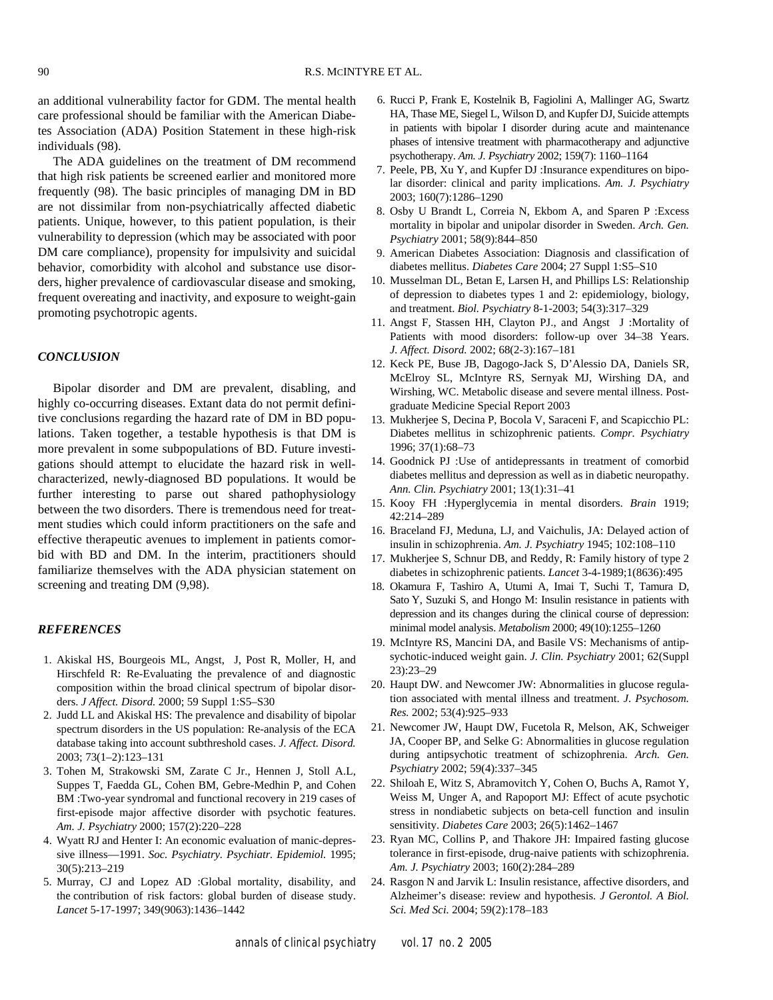an additional vulnerability factor for GDM. The mental health care professional should be familiar with the American Diabetes Association (ADA) Position Statement in these high-risk individuals (98).

The ADA guidelines on the treatment of DM recommend that high risk patients be screened earlier and monitored more frequently (98). The basic principles of managing DM in BD are not dissimilar from non-psychiatrically affected diabetic patients. Unique, however, to this patient population, is their vulnerability to depression (which may be associated with poor DM care compliance), propensity for impulsivity and suicidal behavior, comorbidity with alcohol and substance use disorders, higher prevalence of cardiovascular disease and smoking, frequent overeating and inactivity, and exposure to weight-gain promoting psychotropic agents.

#### *CONCLUSION*

Bipolar disorder and DM are prevalent, disabling, and highly co-occurring diseases. Extant data do not permit definitive conclusions regarding the hazard rate of DM in BD populations. Taken together, a testable hypothesis is that DM is more prevalent in some subpopulations of BD. Future investigations should attempt to elucidate the hazard risk in wellcharacterized, newly-diagnosed BD populations. It would be further interesting to parse out shared pathophysiology between the two disorders. There is tremendous need for treatment studies which could inform practitioners on the safe and effective therapeutic avenues to implement in patients comorbid with BD and DM. In the interim, practitioners should familiarize themselves with the ADA physician statement on screening and treating DM (9,98).

#### *REFERENCES*

- 1. Akiskal HS, Bourgeois ML, Angst, J, Post R, Moller, H, and Hirschfeld R: Re-Evaluating the prevalence of and diagnostic composition within the broad clinical spectrum of bipolar disorders. *J Affect. Disord.* 2000; 59 Suppl 1:S5–S30
- 2. Judd LL and Akiskal HS: The prevalence and disability of bipolar spectrum disorders in the US population: Re-analysis of the ECA database taking into account subthreshold cases. *J. Affect. Disord.* 2003; 73(1–2):123–131
- 3. Tohen M, Strakowski SM, Zarate C Jr., Hennen J, Stoll A.L, Suppes T, Faedda GL, Cohen BM, Gebre-Medhin P, and Cohen BM :Two-year syndromal and functional recovery in 219 cases of first-episode major affective disorder with psychotic features. *Am. J. Psychiatry* 2000; 157(2):220–228
- 4. Wyatt RJ and Henter I: An economic evaluation of manic-depressive illness—1991. *Soc. Psychiatry. Psychiatr. Epidemiol.* 1995; 30(5):213–219
- 5. Murray, CJ and Lopez AD :Global mortality, disability, and the contribution of risk factors: global burden of disease study. *Lancet* 5-17-1997; 349(9063):1436–1442
- 6. Rucci P, Frank E, Kostelnik B, Fagiolini A, Mallinger AG, Swartz HA, Thase ME, Siegel L, Wilson D, and Kupfer DJ, Suicide attempts in patients with bipolar I disorder during acute and maintenance phases of intensive treatment with pharmacotherapy and adjunctive psychotherapy. *Am. J. Psychiatry* 2002; 159(7): 1160–1164
- 7. Peele, PB, Xu Y, and Kupfer DJ :Insurance expenditures on bipolar disorder: clinical and parity implications. *Am. J. Psychiatry* 2003; 160(7):1286–1290
- 8. Osby U Brandt L, Correia N, Ekbom A, and Sparen P :Excess mortality in bipolar and unipolar disorder in Sweden. *Arch. Gen. Psychiatry* 2001; 58(9):844–850
- 9. American Diabetes Association: Diagnosis and classification of diabetes mellitus. *Diabetes Care* 2004; 27 Suppl 1:S5–S10
- 10. Musselman DL, Betan E, Larsen H, and Phillips LS: Relationship of depression to diabetes types 1 and 2: epidemiology, biology, and treatment. *Biol. Psychiatry* 8-1-2003; 54(3):317–329
- 11. Angst F, Stassen HH, Clayton PJ., and Angst J :Mortality of Patients with mood disorders: follow-up over 34–38 Years. *J. Affect. Disord.* 2002; 68(2-3):167–181
- 12. Keck PE, Buse JB, Dagogo-Jack S, D'Alessio DA, Daniels SR, McElroy SL, McIntyre RS, Sernyak MJ, Wirshing DA, and Wirshing, WC. Metabolic disease and severe mental illness. Postgraduate Medicine Special Report 2003
- 13. Mukherjee S, Decina P, Bocola V, Saraceni F, and Scapicchio PL: Diabetes mellitus in schizophrenic patients. *Compr. Psychiatry* 1996; 37(1):68–73
- 14. Goodnick PJ :Use of antidepressants in treatment of comorbid diabetes mellitus and depression as well as in diabetic neuropathy. *Ann. Clin. Psychiatry* 2001; 13(1):31–41
- 15. Kooy FH :Hyperglycemia in mental disorders. *Brain* 1919; 42:214–289
- 16. Braceland FJ, Meduna, LJ, and Vaichulis, JA: Delayed action of insulin in schizophrenia. *Am. J. Psychiatry* 1945; 102:108–110
- 17. Mukherjee S, Schnur DB, and Reddy, R: Family history of type 2 diabetes in schizophrenic patients. *Lancet* 3-4-1989;1(8636):495
- 18. Okamura F, Tashiro A, Utumi A, Imai T, Suchi T, Tamura D, Sato Y, Suzuki S, and Hongo M: Insulin resistance in patients with depression and its changes during the clinical course of depression: minimal model analysis. *Metabolism* 2000; 49(10):1255–1260
- 19. McIntyre RS, Mancini DA, and Basile VS: Mechanisms of antipsychotic-induced weight gain. *J. Clin. Psychiatry* 2001; 62(Suppl 23):23–29
- 20. Haupt DW. and Newcomer JW: Abnormalities in glucose regulation associated with mental illness and treatment. *J. Psychosom. Res.* 2002; 53(4):925–933
- 21. Newcomer JW, Haupt DW, Fucetola R, Melson, AK, Schweiger JA, Cooper BP, and Selke G: Abnormalities in glucose regulation during antipsychotic treatment of schizophrenia. *Arch. Gen. Psychiatry* 2002; 59(4):337–345
- 22. Shiloah E, Witz S, Abramovitch Y, Cohen O, Buchs A, Ramot Y, Weiss M, Unger A, and Rapoport MJ: Effect of acute psychotic stress in nondiabetic subjects on beta-cell function and insulin sensitivity. *Diabetes Care* 2003; 26(5):1462–1467
- 23. Ryan MC, Collins P, and Thakore JH: Impaired fasting glucose tolerance in first-episode, drug-naive patients with schizophrenia. *Am. J. Psychiatry* 2003; 160(2):284–289
- 24. Rasgon N and Jarvik L: Insulin resistance, affective disorders, and Alzheimer's disease: review and hypothesis. *J Gerontol. A Biol. Sci. Med Sci.* 2004; 59(2):178–183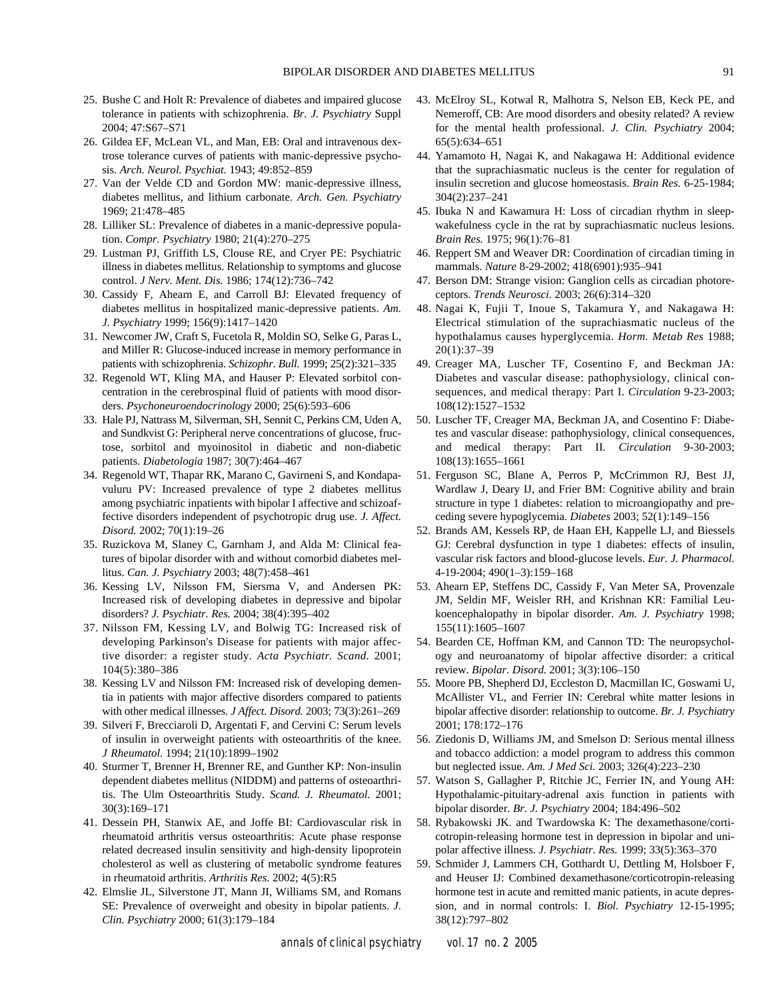- 25. Bushe C and Holt R: Prevalence of diabetes and impaired glucose tolerance in patients with schizophrenia. *Br. J. Psychiatry* Suppl 2004; 47:S67–S71
- 26. Gildea EF, McLean VL, and Man, EB: Oral and intravenous dextrose tolerance curves of patients with manic-depressive psychosis. *Arch. Neurol. Psychiat.* 1943; 49:852–859
- 27. Van der Velde CD and Gordon MW: manic-depressive illness, diabetes mellitus, and lithium carbonate. *Arch. Gen. Psychiatry* 1969; 21:478–485
- 28. Lilliker SL: Prevalence of diabetes in a manic-depressive population. *Compr. Psychiatry* 1980; 21(4):270–275
- 29. Lustman PJ, Griffith LS, Clouse RE, and Cryer PE: Psychiatric illness in diabetes mellitus. Relationship to symptoms and glucose control. *J Nerv. Ment. Dis.* 1986; 174(12):736–742
- 30. Cassidy F, Ahearn E, and Carroll BJ: Elevated frequency of diabetes mellitus in hospitalized manic-depressive patients. *Am. J. Psychiatry* 1999; 156(9):1417–1420
- 31. Newcomer JW, Craft S, Fucetola R, Moldin SO, Selke G, Paras L, and Miller R: Glucose-induced increase in memory performance in patients with schizophrenia. *Schizophr. Bull.* 1999; 25(2):321–335
- 32. Regenold WT, Kling MA, and Hauser P: Elevated sorbitol concentration in the cerebrospinal fluid of patients with mood disorders. *Psychoneuroendocrinology* 2000; 25(6):593–606
- 33. Hale PJ, Nattrass M, Silverman, SH, Sennit C, Perkins CM, Uden A, and Sundkvist G: Peripheral nerve concentrations of glucose, fructose, sorbitol and myoinositol in diabetic and non-diabetic patients. *Diabetologia* 1987; 30(7):464–467
- 34. Regenold WT, Thapar RK, Marano C, Gavirneni S, and Kondapavuluru PV: Increased prevalence of type 2 diabetes mellitus among psychiatric inpatients with bipolar I affective and schizoaffective disorders independent of psychotropic drug use. *J. Affect. Disord.* 2002; 70(1):19–26
- 35. Ruzickova M, Slaney C, Garnham J, and Alda M: Clinical features of bipolar disorder with and without comorbid diabetes mellitus. *Can. J. Psychiatry* 2003; 48(7):458–461
- 36. Kessing LV, Nilsson FM, Siersma V, and Andersen PK: Increased risk of developing diabetes in depressive and bipolar disorders? *J. Psychiatr. Res.* 2004; 38(4):395–402
- 37. Nilsson FM, Kessing LV, and Bolwig TG: Increased risk of developing Parkinson's Disease for patients with major affective disorder: a register study. *Acta Psychiatr. Scand.* 2001; 104(5):380–386
- 38. Kessing LV and Nilsson FM: Increased risk of developing dementia in patients with major affective disorders compared to patients with other medical illnesses. *J Affect. Disord.* 2003; 73(3):261–269
- 39. Silveri F, Brecciaroli D, Argentati F, and Cervini C: Serum levels of insulin in overweight patients with osteoarthritis of the knee. *J Rheumatol.* 1994; 21(10):1899–1902
- 40. Sturmer T, Brenner H, Brenner RE, and Gunther KP: Non-insulin dependent diabetes mellitus (NIDDM) and patterns of osteoarthritis. The Ulm Osteoarthritis Study. *Scand. J. Rheumatol.* 2001; 30(3):169–171
- 41. Dessein PH, Stanwix AE, and Joffe BI: Cardiovascular risk in rheumatoid arthritis versus osteoarthritis: Acute phase response related decreased insulin sensitivity and high-density lipoprotein cholesterol as well as clustering of metabolic syndrome features in rheumatoid arthritis. *Arthritis Res.* 2002; 4(5):R5
- 42. Elmslie JL, Silverstone JT, Mann JI, Williams SM, and Romans SE: Prevalence of overweight and obesity in bipolar patients. *J. Clin. Psychiatry* 2000; 61(3):179–184
- 43. McElroy SL, Kotwal R, Malhotra S, Nelson EB, Keck PE, and Nemeroff, CB: Are mood disorders and obesity related? A review for the mental health professional. *J. Clin. Psychiatry* 2004; 65(5):634–651
- 44. Yamamoto H, Nagai K, and Nakagawa H: Additional evidence that the suprachiasmatic nucleus is the center for regulation of insulin secretion and glucose homeostasis. *Brain Res.* 6-25-1984; 304(2):237–241
- 45. Ibuka N and Kawamura H: Loss of circadian rhythm in sleepwakefulness cycle in the rat by suprachiasmatic nucleus lesions. *Brain Res.* 1975; 96(1):76–81
- 46. Reppert SM and Weaver DR: Coordination of circadian timing in mammals. *Nature* 8-29-2002; 418(6901):935–941
- 47. Berson DM: Strange vision: Ganglion cells as circadian photoreceptors. *Trends Neurosci.* 2003; 26(6):314–320
- 48. Nagai K, Fujii T, Inoue S, Takamura Y, and Nakagawa H: Electrical stimulation of the suprachiasmatic nucleus of the hypothalamus causes hyperglycemia. *Horm. Metab Res* 1988; 20(1):37–39
- 49. Creager MA, Luscher TF, Cosentino F, and Beckman JA: Diabetes and vascular disease: pathophysiology, clinical consequences, and medical therapy: Part I. *Circulation* 9-23-2003; 108(12):1527–1532
- 50. Luscher TF, Creager MA, Beckman JA, and Cosentino F: Diabetes and vascular disease: pathophysiology, clinical consequences, and medical therapy: Part II. *Circulation* 9-30-2003; 108(13):1655–1661
- 51. Ferguson SC, Blane A, Perros P, McCrimmon RJ, Best JJ, Wardlaw J, Deary IJ, and Frier BM: Cognitive ability and brain structure in type 1 diabetes: relation to microangiopathy and preceding severe hypoglycemia. *Diabetes* 2003; 52(1):149–156
- 52. Brands AM, Kessels RP, de Haan EH, Kappelle LJ, and Biessels GJ: Cerebral dysfunction in type 1 diabetes: effects of insulin, vascular risk factors and blood-glucose levels. *Eur. J. Pharmacol.* 4-19-2004; 490(1–3):159–168
- 53. Ahearn EP, Steffens DC, Cassidy F, Van Meter SA, Provenzale JM, Seldin MF, Weisler RH, and Krishnan KR: Familial Leukoencephalopathy in bipolar disorder. *Am. J. Psychiatry* 1998; 155(11):1605–1607
- 54. Bearden CE, Hoffman KM, and Cannon TD: The neuropsychology and neuroanatomy of bipolar affective disorder: a critical review. *Bipolar. Disord.* 2001; 3(3):106–150
- 55. Moore PB, Shepherd DJ, Eccleston D, Macmillan IC, Goswami U, McAllister VL, and Ferrier IN: Cerebral white matter lesions in bipolar affective disorder: relationship to outcome. *Br. J. Psychiatry* 2001; 178:172–176
- 56. Ziedonis D, Williams JM, and Smelson D: Serious mental illness and tobacco addiction: a model program to address this common but neglected issue. *Am. J Med Sci.* 2003; 326(4):223–230
- 57. Watson S, Gallagher P, Ritchie JC, Ferrier IN, and Young AH: Hypothalamic-pituitary-adrenal axis function in patients with bipolar disorder. *Br. J. Psychiatry* 2004; 184:496–502
- 58. Rybakowski JK. and Twardowska K: The dexamethasone/corticotropin-releasing hormone test in depression in bipolar and unipolar affective illness. *J. Psychiatr. Res.* 1999; 33(5):363–370
- 59. Schmider J, Lammers CH, Gotthardt U, Dettling M, Holsboer F, and Heuser IJ: Combined dexamethasone/corticotropin-releasing hormone test in acute and remitted manic patients, in acute depression, and in normal controls: I. *Biol. Psychiatry* 12-15-1995; 38(12):797–802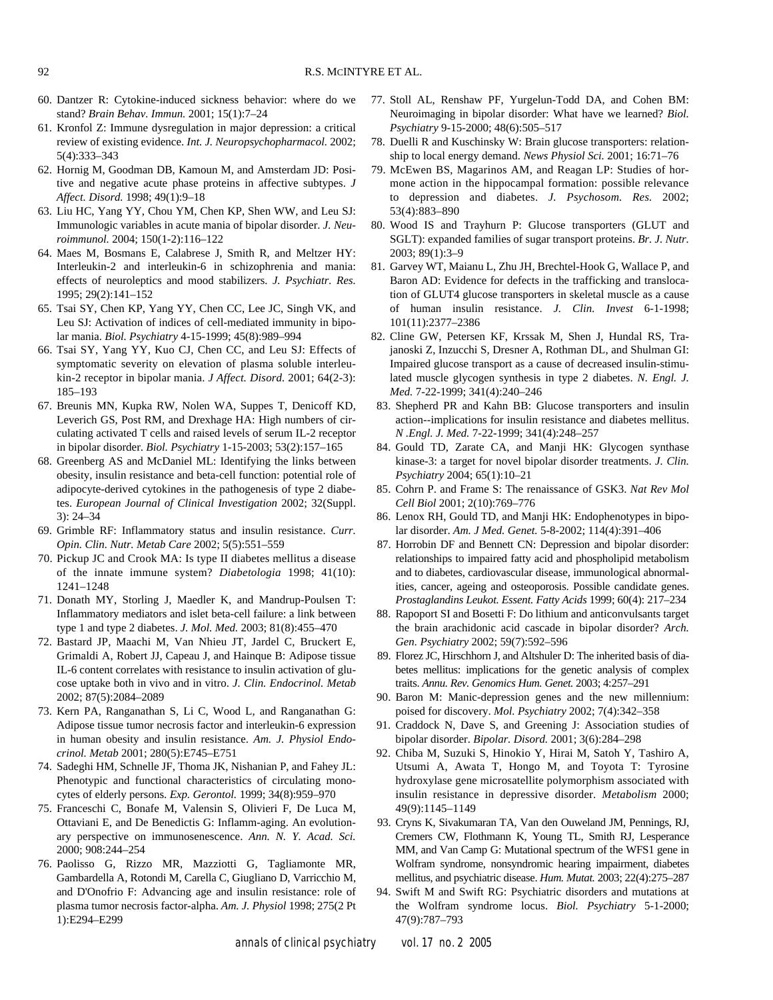- 60. Dantzer R: Cytokine-induced sickness behavior: where do we stand? *Brain Behav. Immun.* 2001; 15(1):7–24
- 61. Kronfol Z: Immune dysregulation in major depression: a critical review of existing evidence. *Int. J. Neuropsychopharmacol.* 2002; 5(4):333–343
- 62. Hornig M, Goodman DB, Kamoun M, and Amsterdam JD: Positive and negative acute phase proteins in affective subtypes. *J Affect. Disord.* 1998; 49(1):9–18
- 63. Liu HC, Yang YY, Chou YM, Chen KP, Shen WW, and Leu SJ: Immunologic variables in acute mania of bipolar disorder. *J. Neuroimmunol.* 2004; 150(1-2):116–122
- 64. Maes M, Bosmans E, Calabrese J, Smith R, and Meltzer HY: Interleukin-2 and interleukin-6 in schizophrenia and mania: effects of neuroleptics and mood stabilizers. *J. Psychiatr. Res.* 1995; 29(2):141–152
- 65. Tsai SY, Chen KP, Yang YY, Chen CC, Lee JC, Singh VK, and Leu SJ: Activation of indices of cell-mediated immunity in bipolar mania. *Biol. Psychiatry* 4-15-1999; 45(8):989–994
- 66. Tsai SY, Yang YY, Kuo CJ, Chen CC, and Leu SJ: Effects of symptomatic severity on elevation of plasma soluble interleukin-2 receptor in bipolar mania. *J Affect. Disord.* 2001; 64(2-3): 185–193
- 67. Breunis MN, Kupka RW, Nolen WA, Suppes T, Denicoff KD, Leverich GS, Post RM, and Drexhage HA: High numbers of circulating activated T cells and raised levels of serum IL-2 receptor in bipolar disorder. *Biol. Psychiatry* 1-15-2003; 53(2):157–165
- 68. Greenberg AS and McDaniel ML: Identifying the links between obesity, insulin resistance and beta-cell function: potential role of adipocyte-derived cytokines in the pathogenesis of type 2 diabetes. *European Journal of Clinical Investigation* 2002; 32(Suppl. 3): 24–34
- 69. Grimble RF: Inflammatory status and insulin resistance. *Curr. Opin. Clin. Nutr. Metab Care* 2002; 5(5):551–559
- 70. Pickup JC and Crook MA: Is type II diabetes mellitus a disease of the innate immune system? *Diabetologia* 1998; 41(10): 1241–1248
- 71. Donath MY, Storling J, Maedler K, and Mandrup-Poulsen T: Inflammatory mediators and islet beta-cell failure: a link between type 1 and type 2 diabetes. *J. Mol. Med.* 2003; 81(8):455–470
- 72. Bastard JP, Maachi M, Van Nhieu JT, Jardel C, Bruckert E, Grimaldi A, Robert JJ, Capeau J, and Hainque B: Adipose tissue IL-6 content correlates with resistance to insulin activation of glucose uptake both in vivo and in vitro. *J. Clin. Endocrinol. Metab* 2002; 87(5):2084–2089
- 73. Kern PA, Ranganathan S, Li C, Wood L, and Ranganathan G: Adipose tissue tumor necrosis factor and interleukin-6 expression in human obesity and insulin resistance. *Am. J. Physiol Endocrinol. Metab* 2001; 280(5):E745–E751
- 74. Sadeghi HM, Schnelle JF, Thoma JK, Nishanian P, and Fahey JL: Phenotypic and functional characteristics of circulating monocytes of elderly persons. *Exp. Gerontol.* 1999; 34(8):959–970
- 75. Franceschi C, Bonafe M, Valensin S, Olivieri F, De Luca M, Ottaviani E, and De Benedictis G: Inflamm-aging. An evolutionary perspective on immunosenescence. *Ann. N. Y. Acad. Sci.* 2000; 908:244–254
- 76. Paolisso G, Rizzo MR, Mazziotti G, Tagliamonte MR, Gambardella A, Rotondi M, Carella C, Giugliano D, Varricchio M, and D'Onofrio F: Advancing age and insulin resistance: role of plasma tumor necrosis factor-alpha. *Am. J. Physiol* 1998; 275(2 Pt 1):E294–E299
- 77. Stoll AL, Renshaw PF, Yurgelun-Todd DA, and Cohen BM: Neuroimaging in bipolar disorder: What have we learned? *Biol. Psychiatry* 9-15-2000; 48(6):505–517
- 78. Duelli R and Kuschinsky W: Brain glucose transporters: relationship to local energy demand. *News Physiol Sci.* 2001; 16:71–76
- 79. McEwen BS, Magarinos AM, and Reagan LP: Studies of hormone action in the hippocampal formation: possible relevance to depression and diabetes. *J. Psychosom. Res.* 2002; 53(4):883–890
- 80. Wood IS and Trayhurn P: Glucose transporters (GLUT and SGLT): expanded families of sugar transport proteins. *Br. J. Nutr.* 2003; 89(1):3–9
- 81. Garvey WT, Maianu L, Zhu JH, Brechtel-Hook G, Wallace P, and Baron AD: Evidence for defects in the trafficking and translocation of GLUT4 glucose transporters in skeletal muscle as a cause of human insulin resistance. *J. Clin. Invest* 6-1-1998; 101(11):2377–2386
- 82. Cline GW, Petersen KF, Krssak M, Shen J, Hundal RS, Trajanoski Z, Inzucchi S, Dresner A, Rothman DL, and Shulman GI: Impaired glucose transport as a cause of decreased insulin-stimulated muscle glycogen synthesis in type 2 diabetes. *N. Engl. J. Med.* 7-22-1999; 341(4):240–246
- 83. Shepherd PR and Kahn BB: Glucose transporters and insulin action--implications for insulin resistance and diabetes mellitus. *N .Engl. J. Med.* 7-22-1999; 341(4):248–257
- 84. Gould TD, Zarate CA, and Manji HK: Glycogen synthase kinase-3: a target for novel bipolar disorder treatments. *J. Clin. Psychiatry* 2004; 65(1):10–21
- 85. Cohrn P. and Frame S: The renaissance of GSK3. *Nat Rev Mol Cell Biol* 2001; 2(10):769–776
- 86. Lenox RH, Gould TD, and Manji HK: Endophenotypes in bipolar disorder. *Am. J Med. Genet.* 5-8-2002; 114(4):391–406
- 87. Horrobin DF and Bennett CN: Depression and bipolar disorder: relationships to impaired fatty acid and phospholipid metabolism and to diabetes, cardiovascular disease, immunological abnormalities, cancer, ageing and osteoporosis. Possible candidate genes. *Prostaglandins Leukot. Essent. Fatty Acids* 1999; 60(4): 217–234
- 88. Rapoport SI and Bosetti F: Do lithium and anticonvulsants target the brain arachidonic acid cascade in bipolar disorder? *Arch. Gen. Psychiatry* 2002; 59(7):592–596
- 89. Florez JC, Hirschhorn J, and Altshuler D: The inherited basis of diabetes mellitus: implications for the genetic analysis of complex traits. *Annu. Rev. Genomics Hum. Genet.* 2003; 4:257–291
- 90. Baron M: Manic-depression genes and the new millennium: poised for discovery. *Mol. Psychiatry* 2002; 7(4):342–358
- 91. Craddock N, Dave S, and Greening J: Association studies of bipolar disorder. *Bipolar. Disord.* 2001; 3(6):284–298
- 92. Chiba M, Suzuki S, Hinokio Y, Hirai M, Satoh Y, Tashiro A, Utsumi A, Awata T, Hongo M, and Toyota T: Tyrosine hydroxylase gene microsatellite polymorphism associated with insulin resistance in depressive disorder. *Metabolism* 2000; 49(9):1145–1149
- 93. Cryns K, Sivakumaran TA, Van den Ouweland JM, Pennings, RJ, Cremers CW, Flothmann K, Young TL, Smith RJ, Lesperance MM, and Van Camp G: Mutational spectrum of the WFS1 gene in Wolfram syndrome, nonsyndromic hearing impairment, diabetes mellitus, and psychiatric disease. *Hum. Mutat.* 2003; 22(4):275–287
- 94. Swift M and Swift RG: Psychiatric disorders and mutations at the Wolfram syndrome locus. *Biol. Psychiatry* 5-1-2000; 47(9):787–793